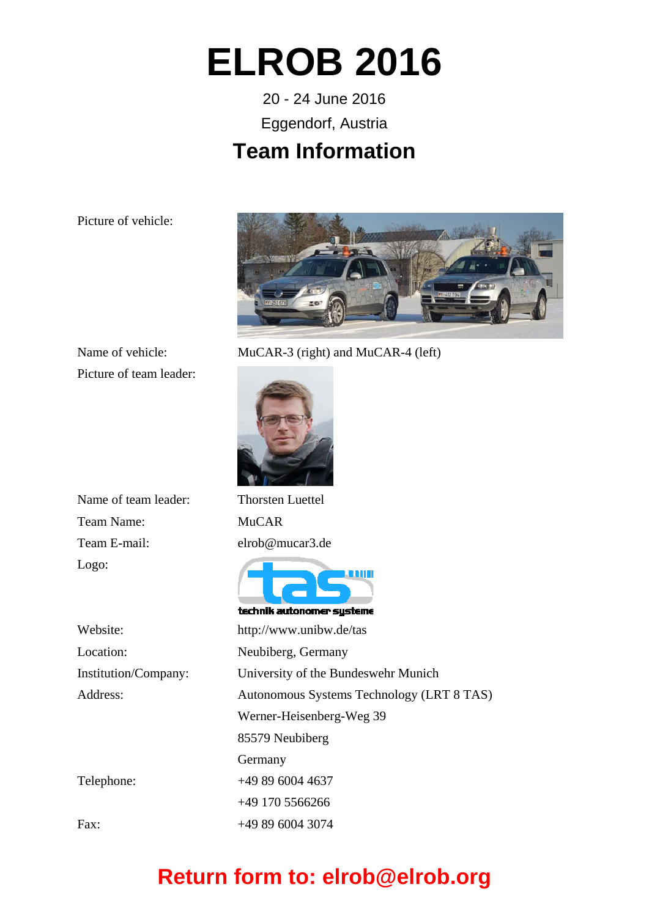## **ELROB 2016**

20 - 24 June 2016 Eggendorf, Austria

#### **Team Information**

Picture of vehicle:



Name of vehicle: MuCAR-3 (right) and MuCAR-4 (left)

Picture of team leader:



technik autonomer systeme

Name of team leader: Thorsten Luettel Team Name: MuCAR Team E-mail: elrob@mucar3.de Logo:

Website: http://www.unibw.de/tas Location: Neubiberg, Germany

Institution/Company: University of the Bundeswehr Munich Address: Autonomous Systems Technology (LRT 8 TAS) Werner-Heisenberg-Weg 39 85579 Neubiberg Germany Telephone: +49 89 6004 4637 +49 170 5566266 Fax: +49 89 6004 3074

### **Return form to: elrob@elrob.org**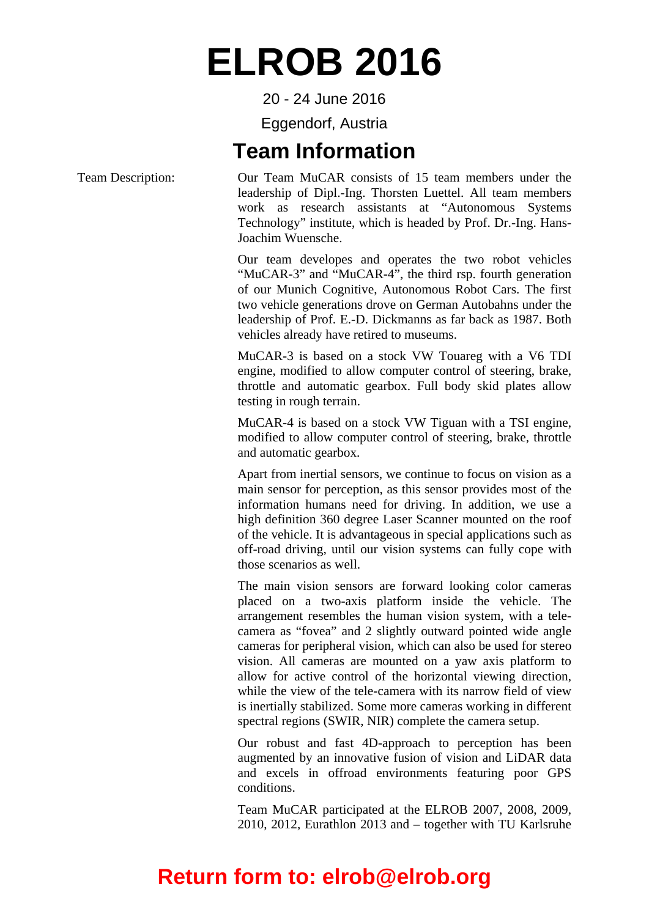## **ELROB 2016**

20 - 24 June 2016

Eggendorf, Austria

#### **Team Information**

Team Description: Our Team MuCAR consists of 15 team members under the leadership of Dipl.-Ing. Thorsten Luettel. All team members work as research assistants at "Autonomous Systems Technology" institute, which is headed by Prof. Dr.-Ing. Hans-Joachim Wuensche.

> Our team developes and operates the two robot vehicles "MuCAR-3" and "MuCAR-4", the third rsp. fourth generation of our Munich Cognitive, Autonomous Robot Cars. The first two vehicle generations drove on German Autobahns under the leadership of Prof. E.-D. Dickmanns as far back as 1987. Both vehicles already have retired to museums.

> MuCAR-3 is based on a stock VW Touareg with a V6 TDI engine, modified to allow computer control of steering, brake, throttle and automatic gearbox. Full body skid plates allow testing in rough terrain.

> MuCAR-4 is based on a stock VW Tiguan with a TSI engine, modified to allow computer control of steering, brake, throttle and automatic gearbox.

> Apart from inertial sensors, we continue to focus on vision as a main sensor for perception, as this sensor provides most of the information humans need for driving. In addition, we use a high definition 360 degree Laser Scanner mounted on the roof of the vehicle. It is advantageous in special applications such as off-road driving, until our vision systems can fully cope with those scenarios as well.

> The main vision sensors are forward looking color cameras placed on a two-axis platform inside the vehicle. The arrangement resembles the human vision system, with a telecamera as "fovea" and 2 slightly outward pointed wide angle cameras for peripheral vision, which can also be used for stereo vision. All cameras are mounted on a yaw axis platform to allow for active control of the horizontal viewing direction, while the view of the tele-camera with its narrow field of view is inertially stabilized. Some more cameras working in different spectral regions (SWIR, NIR) complete the camera setup.

> Our robust and fast 4D-approach to perception has been augmented by an innovative fusion of vision and LiDAR data and excels in offroad environments featuring poor GPS conditions.

> Team MuCAR participated at the ELROB 2007, 2008, 2009, 2010, 2012, Eurathlon 2013 and – together with TU Karlsruhe

### **Return form to: elrob@elrob.org**